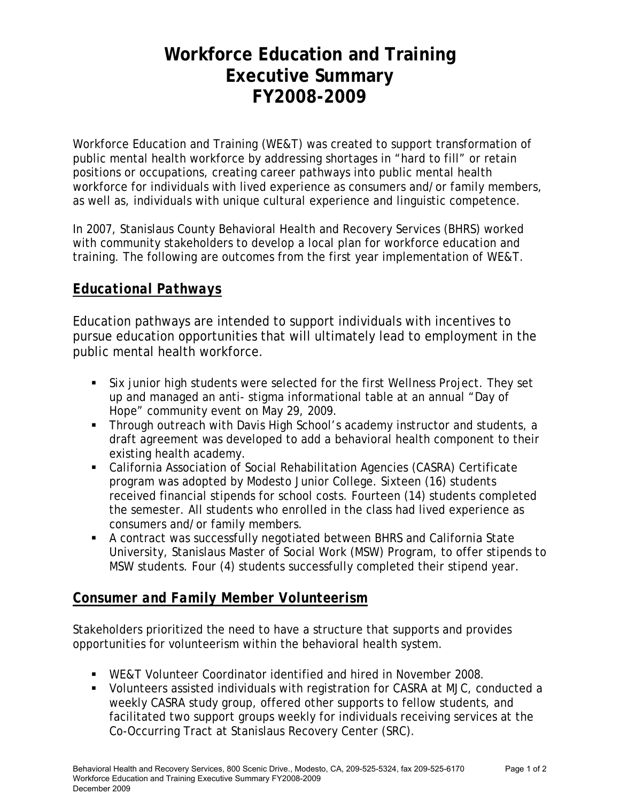# **Workforce Education and Training Executive Summary FY2008-2009**

Workforce Education and Training (WE&T) was created to support transformation of public mental health workforce by addressing shortages in "hard to fill" or retain positions or occupations, creating career pathways into public mental health workforce for individuals with lived experience as consumers and/or family members, as well as, individuals with unique cultural experience and linguistic competence.

In 2007, Stanislaus County Behavioral Health and Recovery Services (BHRS) worked with community stakeholders to develop a local plan for workforce education and training. The following are outcomes from the first year implementation of WE&T.

## *Educational Pathways*

Education pathways are intended to support individuals with incentives to pursue education opportunities that will ultimately lead to employment in the public mental health workforce.

- Six junior high students were selected for the first Wellness Project. They set up and managed an anti- stigma informational table at an annual "Day of Hope" community event on May 29, 2009.
- **Through outreach with Davis High School's academy instructor and students, a** draft agreement was developed to add a behavioral health component to their existing health academy.
- California Association of Social Rehabilitation Agencies (CASRA) Certificate program was adopted by Modesto Junior College. Sixteen (16) students received financial stipends for school costs. Fourteen (14) students completed the semester. All students who enrolled in the class had lived experience as consumers and/or family members.
- A contract was successfully negotiated between BHRS and California State University, Stanislaus Master of Social Work (MSW) Program, to offer stipends to MSW students. Four (4) students successfully completed their stipend year.

### *Consumer and Family Member Volunteerism*

Stakeholders prioritized the need to have a structure that supports and provides opportunities for volunteerism within the behavioral health system.

- WE&T Volunteer Coordinator identified and hired in November 2008.
- Volunteers assisted individuals with registration for CASRA at MJC, conducted a weekly CASRA study group, offered other supports to fellow students, and facilitated two support groups weekly for individuals receiving services at the Co-Occurring Tract at Stanislaus Recovery Center (SRC).